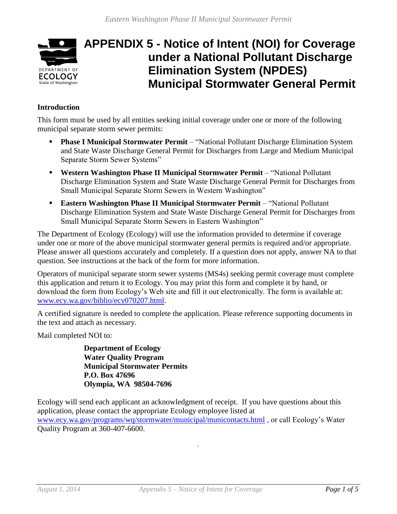

# **APPENDIX 5 - Notice of Intent (NOI) for Coverage under a National Pollutant Discharge Elimination System (NPDES) Municipal Stormwater General Permit**

## **Introduction**

This form must be used by all entities seeking initial coverage under one or more of the following municipal separate storm sewer permits:

- **Phase I Municipal Stormwater Permit** "National Pollutant Discharge Elimination System and State Waste Discharge General Permit for Discharges from Large and Medium Municipal Separate Storm Sewer Systems"
- **Western Washington Phase II Municipal Stormwater Permit** "National Pollutant Discharge Elimination System and State Waste Discharge General Permit for Discharges from Small Municipal Separate Storm Sewers in Western Washington"
- **Eastern Washington Phase II Municipal Stormwater Permit** "National Pollutant Discharge Elimination System and State Waste Discharge General Permit for Discharges from Small Municipal Separate Storm Sewers in Eastern Washington"

The Department of Ecology (Ecology) will use the information provided to determine if coverage under one or more of the above municipal stormwater general permits is required and/or appropriate. Please answer all questions accurately and completely. If a question does not apply, answer NA to that question. See instructions at the back of the form for more information.

Operators of municipal separate storm sewer systems (MS4s) seeking permit coverage must complete this application and return it to Ecology. You may print this form and complete it by hand, or download the form from Ecology's Web site and fill it out electronically. The form is available at: [www.ecy.wa.gov/biblio/ecy070207.html.](http://www.ecy.wa.gov/biblio/ecy070207.html)

A certified signature is needed to complete the application. Please reference supporting documents in the text and attach as necessary.

Mail completed NOI to:

**Department of Ecology Water Quality Program Municipal Stormwater Permits P.O. Box 47696 Olympia, WA 98504-7696**

Ecology will send each applicant an acknowledgment of receipt. If you have questions about this application, please contact the appropriate Ecology employee listed at [www.ecy.wa.gov/programs/wq/stormwater/municipal/municontacts.html](http://www.ecy.wa.gov/programs/wq/stormwater/municipal/municontacts.html) , or call Ecology's Water Quality Program at 360-407-6600.

.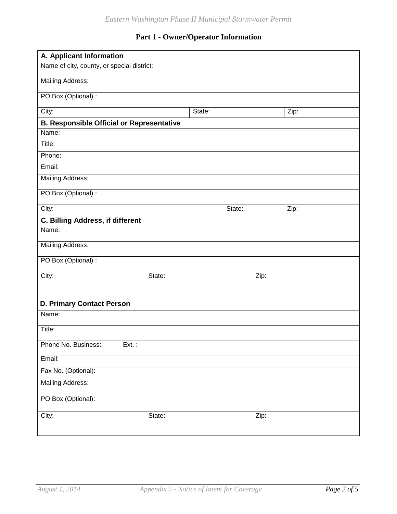## **Part 1 - Owner/Operator Information**

| A. Applicant Information                         |        |        |      |      |
|--------------------------------------------------|--------|--------|------|------|
| Name of city, county, or special district:       |        |        |      |      |
| <b>Mailing Address:</b>                          |        |        |      |      |
| PO Box (Optional) :                              |        |        |      |      |
| City:<br>State:                                  |        |        |      | Zip: |
| <b>B. Responsible Official or Representative</b> |        |        |      |      |
| Name:                                            |        |        |      |      |
| Title:                                           |        |        |      |      |
| Phone:                                           |        |        |      |      |
| Email:                                           |        |        |      |      |
| <b>Mailing Address:</b>                          |        |        |      |      |
| PO Box (Optional) :                              |        |        |      |      |
| City:                                            |        | State: |      | Zip: |
| C. Billing Address, if different                 |        |        |      |      |
| Name:                                            |        |        |      |      |
| <b>Mailing Address:</b>                          |        |        |      |      |
| PO Box (Optional) :                              |        |        |      |      |
| City:                                            | State: |        | Zip: |      |
|                                                  |        |        |      |      |
| <b>D. Primary Contact Person</b>                 |        |        |      |      |
| Name:                                            |        |        |      |      |
| Title:                                           |        |        |      |      |
| Phone No. Business:<br>$Ext.$ :                  |        |        |      |      |
| Email:                                           |        |        |      |      |
| Fax No. (Optional):                              |        |        |      |      |
| <b>Mailing Address:</b>                          |        |        |      |      |
| PO Box (Optional):                               |        |        |      |      |
| City:                                            | State: |        | Zip: |      |
|                                                  |        |        |      |      |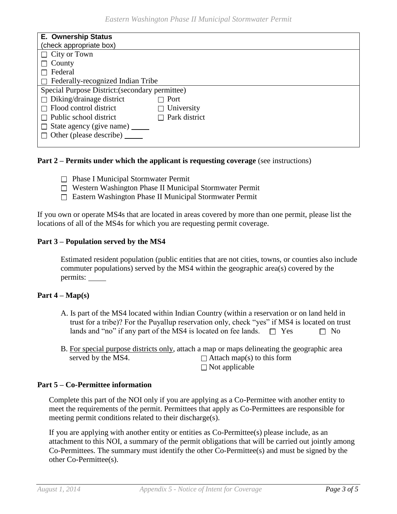| <b>E. Ownership Status</b>                      |                      |  |
|-------------------------------------------------|----------------------|--|
| (check appropriate box)                         |                      |  |
| $\Box$ City or Town                             |                      |  |
| County                                          |                      |  |
| Federal                                         |                      |  |
| $\Box$ Federally-recognized Indian Tribe        |                      |  |
| Special Purpose District: (secondary permittee) |                      |  |
| $\Box$ Diking/drainage district                 | $\Box$ Port          |  |
| $\Box$ Flood control district                   | $\Box$ University    |  |
| $\Box$ Public school district                   | $\Box$ Park district |  |
| $\Box$ State agency (give name) $\Box$          |                      |  |
| $\Box$ Other (please describe)                  |                      |  |
|                                                 |                      |  |

#### **Part 2 – Permits under which the applicant is requesting coverage** (see instructions)

- $\Box$  Phase I Municipal Stormwater Permit
- □ Western Washington Phase II Municipal Stormwater Permit
- Eastern Washington Phase II Municipal Stormwater Permit

If you own or operate MS4s that are located in areas covered by more than one permit, please list the locations of all of the MS4s for which you are requesting permit coverage.

#### **Part 3 – Population served by the MS4**

Estimated resident population (public entities that are not cities, towns, or counties also include commuter populations) served by the MS4 within the geographic area(s) covered by the permits:

#### **Part 4 – Map(s)**

- A. Is part of the MS4 located within Indian Country (within a reservation or on land held in trust for a tribe)? For the Puyallup reservation only, check "yes" if MS4 is located on trust lands and "no" if any part of the MS4 is located on fee lands.  $\square$  Yes  $\square$  No
- B. For special purpose districts only, attach a map or maps delineating the geographic area served by the MS4.  $\Box$  Attach map(s) to this form  $\Box$  Not applicable

#### **Part 5 – Co-Permittee information**

Complete this part of the NOI only if you are applying as a Co-Permittee with another entity to meet the requirements of the permit. Permittees that apply as Co-Permittees are responsible for meeting permit conditions related to their discharge(s).

If you are applying with another entity or entities as Co-Permittee(s) please include, as an attachment to this NOI, a summary of the permit obligations that will be carried out jointly among Co-Permittees. The summary must identify the other Co-Permittee(s) and must be signed by the other Co-Permittee(s).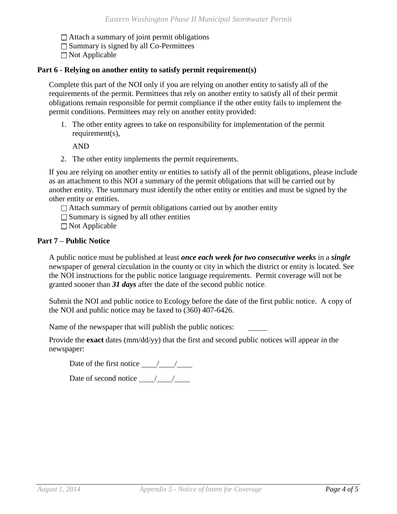$\Box$  Attach a summary of joint permit obligations

 $\Box$  Summary is signed by all Co-Permittees

 $\Box$  Not Applicable

#### **Part 6 - Relying on another entity to satisfy permit requirement(s)**

Complete this part of the NOI only if you are relying on another entity to satisfy all of the requirements of the permit. Permittees that rely on another entity to satisfy all of their permit obligations remain responsible for permit compliance if the other entity fails to implement the permit conditions. Permittees may rely on another entity provided:

1. The other entity agrees to take on responsibility for implementation of the permit requirement(s),

AND

2. The other entity implements the permit requirements.

If you are relying on another entity or entities to satisfy all of the permit obligations, please include as an attachment to this NOI a summary of the permit obligations that will be carried out by another entity. The summary must identify the other entity or entities and must be signed by the other entity or entities.

 $\Box$  Attach summary of permit obligations carried out by another entity

 $\Box$  Summary is signed by all other entities

 $\Box$  Not Applicable

#### **Part 7 – Public Notice**

A public notice must be published at least *once each week for two consecutive weeks* in a *single* newspaper of general circulation in the county or city in which the district or entity is located. See the NOI instructions for the public notice language requirements. Permit coverage will not be granted sooner than *31 days* after the date of the second public notice.

Submit the NOI and public notice to Ecology before the date of the first public notice. A copy of the NOI and public notice may be faxed to (360) 407-6426.

Name of the newspaper that will publish the public notices:

Provide the **exact** dates (mm/dd/yy) that the first and second public notices will appear in the newspaper:

Date of the first notice  $\frac{\ }{\ }$  /  $\frac{\ }{\ }$ 

Date of second notice  $\frac{\sqrt{2}}{2}$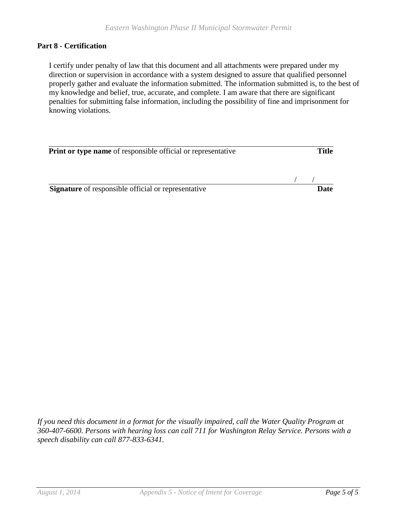#### **Part 8 - Certification**

I certify under penalty of law that this document and all attachments were prepared under my direction or supervision in accordance with a system designed to assure that qualified personnel properly gather and evaluate the information submitted. The information submitted is, to the best of my knowledge and belief, true, accurate, and complete. I am aware that there are significant penalties for submitting false information, including the possibility of fine and imprisonment for knowing violations.

| <b>Print or type name</b> of responsible official or representative | Title |  |
|---------------------------------------------------------------------|-------|--|
|                                                                     |       |  |
| <b>Signature</b> of responsible official or representative          | Date  |  |

*If you need this document in a format for the visually impaired, call the Water Quality Program at 360-407-6600. Persons with hearing loss can call 711 for Washington Relay Service. Persons with a speech disability can call 877-833-6341.*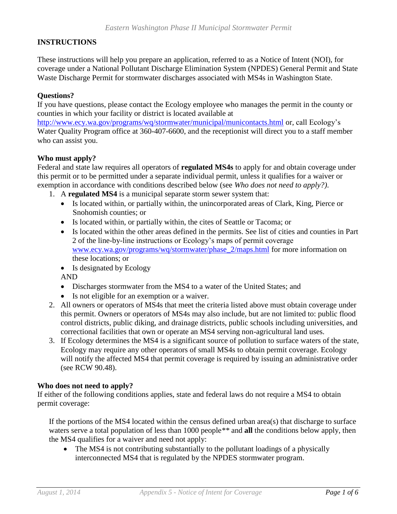### **INSTRUCTIONS**

These instructions will help you prepare an application, referred to as a Notice of Intent (NOI), for coverage under a National Pollutant Discharge Elimination System (NPDES) General Permit and State Waste Discharge Permit for stormwater discharges associated with MS4s in Washington State.

#### **Questions?**

If you have questions, please contact the Ecology employee who manages the permit in the county or counties in which your facility or district is located available at

<http://www.ecy.wa.gov/programs/wq/stormwater/municipal/municontacts.html> or, call Ecology's Water Quality Program office at 360-407-6600, and the receptionist will direct you to a staff member who can assist you.

#### **Who must apply?**

Federal and state law requires all operators of **regulated MS4s** to apply for and obtain coverage under this permit or to be permitted under a separate individual permit, unless it qualifies for a waiver or exemption in accordance with conditions described below (see *Who does not need to apply?)*.

- 1. A **regulated MS4** is a municipal separate storm sewer system that:
	- Is located within, or partially within, the unincorporated areas of Clark, King, Pierce or Snohomish counties; or
	- Is located within, or partially within, the cites of Seattle or Tacoma; or
	- Is located within the other areas defined in the permits. See list of cities and counties in Part 2 of the line-by-line instructions or Ecology's maps of permit coverage [www.ecy.wa.gov/programs/wq/stormwater/phase\\_2/maps.html](http://www.ecy.wa.gov/programs/wq/stormwater/phase_2/maps.html) for more information on these locations; or
	- Is designated by Ecology

AND

- Discharges stormwater from the MS4 to a water of the United States; and
- Is not eligible for an exemption or a waiver.
- 2. All owners or operators of MS4s that meet the criteria listed above must obtain coverage under this permit. Owners or operators of MS4s may also include, but are not limited to: public flood control districts, public diking, and drainage districts, public schools including universities, and correctional facilities that own or operate an MS4 serving non-agricultural land uses.
- 3. If Ecology determines the MS4 is a significant source of pollution to surface waters of the state, Ecology may require any other operators of small MS4s to obtain permit coverage. Ecology will notify the affected MS4 that permit coverage is required by issuing an administrative order (see RCW 90.48).

#### **Who does not need to apply?**

If either of the following conditions applies, state and federal laws do not require a MS4 to obtain permit coverage:

If the portions of the MS4 located within the census defined urban area(s) that discharge to surface waters serve a total population of less than 1000 people*\*\** and **all** the conditions below apply, then the MS4 qualifies for a waiver and need not apply:

• The MS4 is not contributing substantially to the pollutant loadings of a physically interconnected MS4 that is regulated by the NPDES stormwater program.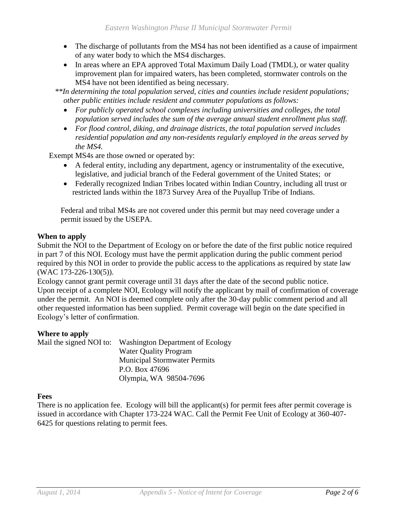- The discharge of pollutants from the MS4 has not been identified as a cause of impairment of any water body to which the MS4 discharges.
- In areas where an EPA approved Total Maximum Daily Load (TMDL), or water quality improvement plan for impaired waters, has been completed, stormwater controls on the MS4 have not been identified as being necessary.

 *\*\*In determining the total population served, cities and counties include resident populations; other public entities include resident and commuter populations as follows:*

- *For publicly operated school complexes including universities and colleges, the total population served includes the sum of the average annual student enrollment plus staff.*
- *For flood control, diking, and drainage districts, the total population served includes residential population and any non-residents regularly employed in the areas served by the MS4.*

Exempt MS4s are those owned or operated by:

- A federal entity, including any department, agency or instrumentality of the executive, legislative, and judicial branch of the Federal government of the United States; or
- Federally recognized Indian Tribes located within Indian Country, including all trust or restricted lands within the 1873 Survey Area of the Puyallup Tribe of Indians.

Federal and tribal MS4s are not covered under this permit but may need coverage under a permit issued by the USEPA.

#### **When to apply**

Submit the NOI to the Department of Ecology on or before the date of the first public notice required in part 7 of this NOI. Ecology must have the permit application during the public comment period required by this NOI in order to provide the public access to the applications as required by state law (WAC 173-226-130(5)).

Ecology cannot grant permit coverage until 31 days after the date of the second public notice. Upon receipt of a complete NOI, Ecology will notify the applicant by mail of confirmation of coverage under the permit. An NOI is deemed complete only after the 30-day public comment period and all other requested information has been supplied. Permit coverage will begin on the date specified in Ecology's letter of confirmation.

#### **Where to apply**

| Mail the signed NOI to: | <b>Washington Department of Ecology</b> |
|-------------------------|-----------------------------------------|
|                         | <b>Water Quality Program</b>            |
|                         | <b>Municipal Stormwater Permits</b>     |
|                         | P.O. Box 47696                          |
|                         | Olympia, WA 98504-7696                  |

#### **Fees**

There is no application fee. Ecology will bill the applicant(s) for permit fees after permit coverage is issued in accordance with Chapter 173-224 WAC. Call the Permit Fee Unit of Ecology at 360-407- 6425 for questions relating to permit fees.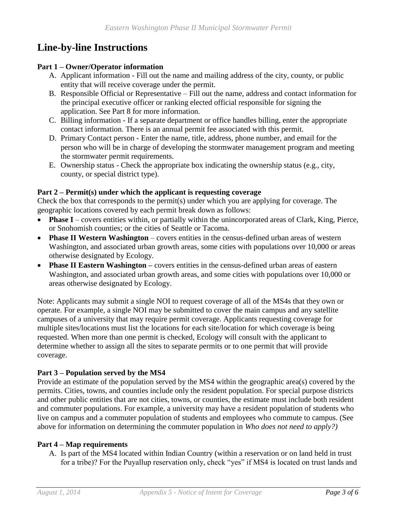## **Line-by-line Instructions**

#### **Part 1 – Owner/Operator information**

- A. Applicant information Fill out the name and mailing address of the city, county, or public entity that will receive coverage under the permit.
- B. Responsible Official or Representative Fill out the name, address and contact information for the principal executive officer or ranking elected official responsible for signing the application. See Part 8 for more information.
- C. Billing information If a separate department or office handles billing, enter the appropriate contact information. There is an annual permit fee associated with this permit.
- D. Primary Contact person Enter the name, title, address, phone number, and email for the person who will be in charge of developing the stormwater management program and meeting the stormwater permit requirements.
- E. Ownership status Check the appropriate box indicating the ownership status (e.g., city, county, or special district type).

## **Part 2 – Permit(s) under which the applicant is requesting coverage**

Check the box that corresponds to the permit(s) under which you are applying for coverage. The geographic locations covered by each permit break down as follows:

- **Phase I** covers entities within, or partially within the unincorporated areas of Clark, King, Pierce, or Snohomish counties; or the cities of Seattle or Tacoma.
- **Phase II Western Washington** covers entities in the census-defined urban areas of western Washington, and associated urban growth areas, some cities with populations over 10,000 or areas otherwise designated by Ecology.
- **Phase II Eastern Washington** covers entities in the census-defined urban areas of eastern Washington, and associated urban growth areas, and some cities with populations over 10,000 or areas otherwise designated by Ecology.

Note: Applicants may submit a single NOI to request coverage of all of the MS4s that they own or operate. For example, a single NOI may be submitted to cover the main campus and any satellite campuses of a university that may require permit coverage. Applicants requesting coverage for multiple sites/locations must list the locations for each site/location for which coverage is being requested. When more than one permit is checked, Ecology will consult with the applicant to determine whether to assign all the sites to separate permits or to one permit that will provide coverage.

## **Part 3 – Population served by the MS4**

Provide an estimate of the population served by the MS4 within the geographic area(s) covered by the permits. Cities, towns, and counties include only the resident population. For special purpose districts and other public entities that are not cities, towns, or counties, the estimate must include both resident and commuter populations. For example, a university may have a resident population of students who live on campus and a commuter population of students and employees who commute to campus. (See above for information on determining the commuter population in *Who does not need to apply?)*

## **Part 4 – Map requirements**

A. Is part of the MS4 located within Indian Country (within a reservation or on land held in trust for a tribe)? For the Puyallup reservation only, check "yes" if MS4 is located on trust lands and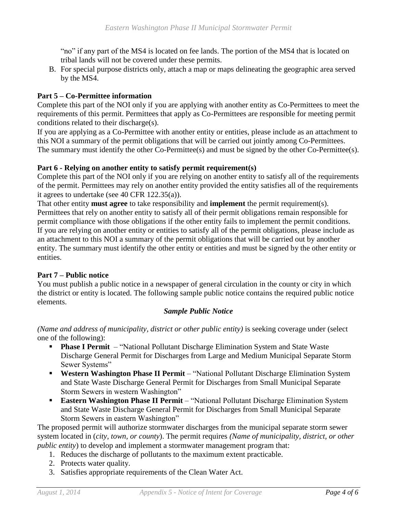"no" if any part of the MS4 is located on fee lands. The portion of the MS4 that is located on tribal lands will not be covered under these permits.

B. For special purpose districts only, attach a map or maps delineating the geographic area served by the MS4.

## **Part 5 – Co-Permittee information**

Complete this part of the NOI only if you are applying with another entity as Co-Permittees to meet the requirements of this permit. Permittees that apply as Co-Permittees are responsible for meeting permit conditions related to their discharge(s).

If you are applying as a Co-Permittee with another entity or entities, please include as an attachment to this NOI a summary of the permit obligations that will be carried out jointly among Co-Permittees. The summary must identify the other Co-Permittee(s) and must be signed by the other Co-Permittee(s).

## **Part 6 - Relying on another entity to satisfy permit requirement(s)**

Complete this part of the NOI only if you are relying on another entity to satisfy all of the requirements of the permit. Permittees may rely on another entity provided the entity satisfies all of the requirements it agrees to undertake (see 40 CFR 122.35(a)).

That other entity **must agree** to take responsibility and **implement** the permit requirement(s). Permittees that rely on another entity to satisfy all of their permit obligations remain responsible for permit compliance with those obligations if the other entity fails to implement the permit conditions. If you are relying on another entity or entities to satisfy all of the permit obligations, please include as an attachment to this NOI a summary of the permit obligations that will be carried out by another entity. The summary must identify the other entity or entities and must be signed by the other entity or entities.

## **Part 7 – Public notice**

You must publish a public notice in a newspaper of general circulation in the county or city in which the district or entity is located. The following sample public notice contains the required public notice elements.

## *Sample Public Notice*

*(Name and address of municipality, district or other public entity)* is seeking coverage under (select one of the following):

- **Phase I Permit** "National Pollutant Discharge Elimination System and State Waste Discharge General Permit for Discharges from Large and Medium Municipal Separate Storm Sewer Systems"
- **Western Washington Phase II Permit** "National Pollutant Discharge Elimination System and State Waste Discharge General Permit for Discharges from Small Municipal Separate Storm Sewers in western Washington"
- **Eastern Washington Phase II Permit** "National Pollutant Discharge Elimination System and State Waste Discharge General Permit for Discharges from Small Municipal Separate Storm Sewers in eastern Washington"

The proposed permit will authorize stormwater discharges from the municipal separate storm sewer system located in (*city, town, or county*). The permit requires *(Name of municipality, district, or other public entity*) to develop and implement a stormwater management program that:

- 1. Reduces the discharge of pollutants to the maximum extent practicable.
- 2. Protects water quality.
- 3. Satisfies appropriate requirements of the Clean Water Act.